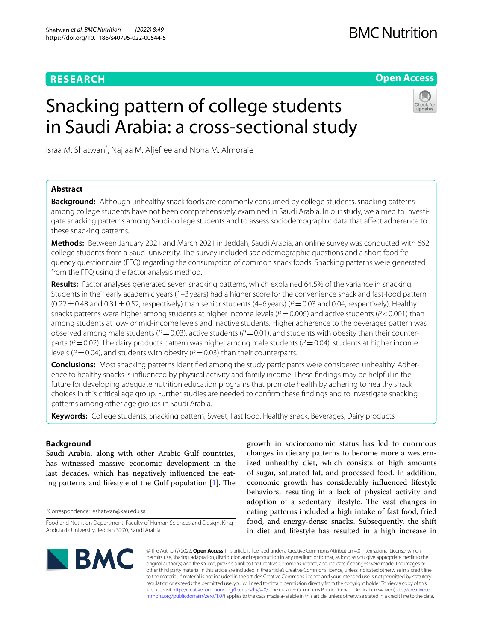# **RESEARCH**

# **BMC Nutrition**

**Open Access**

# Snacking pattern of college students in Saudi Arabia: a cross-sectional study



Israa M. Shatwan\* , Najlaa M. Aljefree and Noha M. Almoraie

# **Abstract**

**Background:** Although unhealthy snack foods are commonly consumed by college students, snacking patterns among college students have not been comprehensively examined in Saudi Arabia. In our study, we aimed to investigate snacking patterns among Saudi college students and to assess sociodemographic data that afect adherence to these snacking patterns.

**Methods:** Between January 2021 and March 2021 in Jeddah, Saudi Arabia, an online survey was conducted with 662 college students from a Saudi university. The survey included sociodemographic questions and a short food frequency questionnaire (FFQ) regarding the consumption of common snack foods. Snacking patterns were generated from the FFQ using the factor analysis method.

**Results:** Factor analyses generated seven snacking patterns, which explained 64.5% of the variance in snacking. Students in their early academic years (1–3 years) had a higher score for the convenience snack and fast-food pattern  $(0.22 \pm 0.48$  and  $0.31 \pm 0.52$ , respectively) than senior students (4–6 years)  $(P=0.03$  and 0.04, respectively). Healthy snacks patterns were higher among students at higher income levels (*P*=0.006) and active students (*P*<0.001) than among students at low- or mid-income levels and inactive students. Higher adherence to the beverages pattern was observed among male students ( $P=0.03$ ), active students ( $P=0.01$ ), and students with obesity than their counterparts ( $P$  = 0.02). The dairy products pattern was higher among male students ( $P$  = 0.04), students at higher income levels ( $P$  = 0.04), and students with obesity ( $P$  = 0.03) than their counterparts.

**Conclusions:** Most snacking patterns identifed among the study participants were considered unhealthy. Adherence to healthy snacks is infuenced by physical activity and family income. These fndings may be helpful in the future for developing adequate nutrition education programs that promote health by adhering to healthy snack choices in this critical age group. Further studies are needed to confrm these fndings and to investigate snacking patterns among other age groups in Saudi Arabia.

**Keywords:** College students, Snacking pattern, Sweet, Fast food, Healthy snack, Beverages, Dairy products

# **Background**

Saudi Arabia, along with other Arabic Gulf countries, has witnessed massive economic development in the last decades, which has negatively infuenced the eating patterns and lifestyle of the Gulf population  $[1]$  $[1]$ . The

\*Correspondence: eshatwan@kau.edu.sa

growth in socioeconomic status has led to enormous changes in dietary patterns to become more a westernized unhealthy diet, which consists of high amounts of sugar, saturated fat, and processed food. In addition, economic growth has considerably infuenced lifestyle behaviors, resulting in a lack of physical activity and adoption of a sedentary lifestyle. The vast changes in eating patterns included a high intake of fast food, fried food, and energy-dense snacks. Subsequently, the shift in diet and lifestyle has resulted in a high increase in



© The Author(s) 2022. **Open Access** This article is licensed under a Creative Commons Attribution 4.0 International License, which permits use, sharing, adaptation, distribution and reproduction in any medium or format, as long as you give appropriate credit to the original author(s) and the source, provide a link to the Creative Commons licence, and indicate if changes were made. The images or other third party material in this article are included in the article's Creative Commons licence, unless indicated otherwise in a credit line to the material. If material is not included in the article's Creative Commons licence and your intended use is not permitted by statutory regulation or exceeds the permitted use, you will need to obtain permission directly from the copyright holder. To view a copy of this licence, visit [http://creativecommons.org/licenses/by/4.0/.](http://creativecommons.org/licenses/by/4.0/) The Creative Commons Public Domain Dedication waiver ([http://creativeco](http://creativecommons.org/publicdomain/zero/1.0/) [mmons.org/publicdomain/zero/1.0/](http://creativecommons.org/publicdomain/zero/1.0/)) applies to the data made available in this article, unless otherwise stated in a credit line to the data.

Food and Nutrition Department, Faculty of Human Sciences and Design, King Abdulaziz University, Jeddah 3270, Saudi Arabia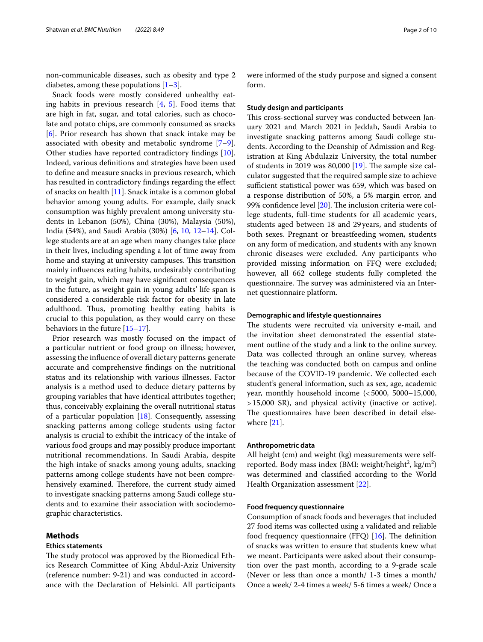non-communicable diseases, such as obesity and type 2 diabetes, among these populations  $[1-3]$  $[1-3]$ .

Snack foods were mostly considered unhealthy eating habits in previous research  $[4, 5]$  $[4, 5]$  $[4, 5]$  $[4, 5]$  $[4, 5]$ . Food items that are high in fat, sugar, and total calories, such as chocolate and potato chips, are commonly consumed as snacks [[6\]](#page-8-2). Prior research has shown that snack intake may be associated with obesity and metabolic syndrome [\[7](#page-8-3)[–9](#page-8-4)]. Other studies have reported contradictory fndings [\[10](#page-8-5)]. Indeed, various defnitions and strategies have been used to defne and measure snacks in previous research, which has resulted in contradictory fndings regarding the efect of snacks on health [\[11](#page-8-6)]. Snack intake is a common global behavior among young adults. For example, daily snack consumption was highly prevalent among university students in Lebanon (50%), China (30%), Malaysia (50%), India (54%), and Saudi Arabia (30%) [\[6,](#page-8-2) [10](#page-8-5), [12](#page-8-7)[–14](#page-8-8)]. College students are at an age when many changes take place in their lives, including spending a lot of time away from home and staying at university campuses. This transition mainly infuences eating habits, undesirably contributing to weight gain, which may have signifcant consequences in the future, as weight gain in young adults' life span is considered a considerable risk factor for obesity in late adulthood. Thus, promoting healthy eating habits is crucial to this population, as they would carry on these behaviors in the future [[15](#page-8-9)[–17](#page-8-10)].

Prior research was mostly focused on the impact of a particular nutrient or food group on illness; however, assessing the infuence of overall dietary patterns generate accurate and comprehensive fndings on the nutritional status and its relationship with various illnesses. Factor analysis is a method used to deduce dietary patterns by grouping variables that have identical attributes together; thus, conceivably explaining the overall nutritional status of a particular population  $[18]$  $[18]$ . Consequently, assessing snacking patterns among college students using factor analysis is crucial to exhibit the intricacy of the intake of various food groups and may possibly produce important nutritional recommendations. In Saudi Arabia, despite the high intake of snacks among young adults, snacking patterns among college students have not been comprehensively examined. Therefore, the current study aimed to investigate snacking patterns among Saudi college students and to examine their association with sociodemographic characteristics.

## **Methods**

## **Ethics statements**

The study protocol was approved by the Biomedical Ethics Research Committee of King Abdul-Aziz University (reference number: 9-21) and was conducted in accordance with the Declaration of Helsinki. All participants were informed of the study purpose and signed a consent form.

## **Study design and participants**

This cross-sectional survey was conducted between January 2021 and March 2021 in Jeddah, Saudi Arabia to investigate snacking patterns among Saudi college students. According to the Deanship of Admission and Registration at King Abdulaziz University, the total number of students in 2019 was  $80,000$  [\[19](#page-8-12)]. The sample size calculator suggested that the required sample size to achieve sufficient statistical power was 659, which was based on a response distribution of 50%, a 5% margin error, and 99% confidence level [\[20](#page-8-13)]. The inclusion criteria were college students, full-time students for all academic years, students aged between 18 and 29years, and students of both sexes. Pregnant or breastfeeding women, students on any form of medication, and students with any known chronic diseases were excluded. Any participants who provided missing information on FFQ were excluded; however, all 662 college students fully completed the questionnaire. The survey was administered via an Internet questionnaire platform.

#### **Demographic and lifestyle questionnaires**

The students were recruited via university e-mail, and the invitation sheet demonstrated the essential statement outline of the study and a link to the online survey. Data was collected through an online survey, whereas the teaching was conducted both on campus and online because of the COVID-19 pandemic. We collected each student's general information, such as sex, age, academic year, monthly household income (<5000, 5000–15,000, >15,000 SR), and physical activity (inactive or active). The questionnaires have been described in detail elsewhere  $[21]$ .

#### **Anthropometric data**

All height (cm) and weight (kg) measurements were selfreported. Body mass index (BMI: weight/height<sup>2</sup>, kg/m<sup>2</sup>) was determined and classifed according to the World Health Organization assessment [\[22](#page-8-15)].

#### **Food frequency questionnaire**

Consumption of snack foods and beverages that included 27 food items was collected using a validated and reliable food frequency questionnaire (FFQ)  $[16]$  $[16]$  $[16]$ . The definition of snacks was written to ensure that students knew what we meant. Participants were asked about their consumption over the past month, according to a 9-grade scale (Never or less than once a month/ 1-3 times a month/ Once a week/ 2-4 times a week/ 5-6 times a week/ Once a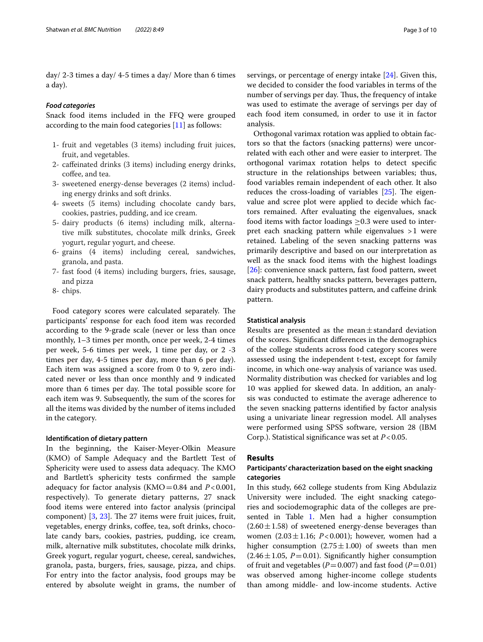day/ 2-3 times a day/ 4-5 times a day/ More than 6 times a day).

### *Food categories*

Snack food items included in the FFQ were grouped according to the main food categories [[11\]](#page-8-6) as follows:

- 1- fruit and vegetables (3 items) including fruit juices, fruit, and vegetables.
- 2- cafeinated drinks (3 items) including energy drinks, coffee, and tea.
- 3- sweetened energy-dense beverages (2 items) including energy drinks and soft drinks.
- 4- sweets (5 items) including chocolate candy bars, cookies, pastries, pudding, and ice cream.
- 5- dairy products (6 items) including milk, alternative milk substitutes, chocolate milk drinks, Greek yogurt, regular yogurt, and cheese.
- 6- grains (4 items) including cereal, sandwiches, granola, and pasta.
- 7- fast food (4 items) including burgers, fries, sausage, and pizza
- 8- chips.

Food category scores were calculated separately. The participants' response for each food item was recorded according to the 9-grade scale (never or less than once monthly, 1–3 times per month, once per week, 2-4 times per week, 5-6 times per week, 1 time per day, or 2 -3 times per day, 4-5 times per day, more than 6 per day). Each item was assigned a score from 0 to 9, zero indicated never or less than once monthly and 9 indicated more than 6 times per day. The total possible score for each item was 9. Subsequently, the sum of the scores for all the items was divided by the number of items included in the category.

#### **Identifcation of dietary pattern**

In the beginning, the Kaiser-Meyer-Olkin Measure (KMO) of Sample Adequacy and the Bartlett Test of Sphericity were used to assess data adequacy. The KMO and Bartlett's sphericity tests confrmed the sample adequacy for factor analysis (KMO=0.84 and *P*<0.001, respectively). To generate dietary patterns, 27 snack food items were entered into factor analysis (principal component)  $[3, 23]$  $[3, 23]$  $[3, 23]$  $[3, 23]$ . The 27 items were fruit juices, fruit, vegetables, energy drinks, coffee, tea, soft drinks, chocolate candy bars, cookies, pastries, pudding, ice cream, milk, alternative milk substitutes, chocolate milk drinks, Greek yogurt, regular yogurt, cheese, cereal, sandwiches, granola, pasta, burgers, fries, sausage, pizza, and chips. For entry into the factor analysis, food groups may be entered by absolute weight in grams, the number of

servings, or percentage of energy intake [[24](#page-8-18)]. Given this, we decided to consider the food variables in terms of the number of servings per day. Thus, the frequency of intake was used to estimate the average of servings per day of each food item consumed, in order to use it in factor analysis.

Orthogonal varimax rotation was applied to obtain factors so that the factors (snacking patterns) were uncorrelated with each other and were easier to interpret. The orthogonal varimax rotation helps to detect specifc structure in the relationships between variables; thus, food variables remain independent of each other. It also reduces the cross-loading of variables  $[25]$  $[25]$ . The eigenvalue and scree plot were applied to decide which factors remained. After evaluating the eigenvalues, snack food items with factor loadings  $\geq$ 0.3 were used to interpret each snacking pattern while eigenvalues >1 were retained. Labeling of the seven snacking patterns was primarily descriptive and based on our interpretation as well as the snack food items with the highest loadings [[26\]](#page-8-20): convenience snack pattern, fast food pattern, sweet snack pattern, healthy snacks pattern, beverages pattern, dairy products and substitutes pattern, and cafeine drink pattern.

#### **Statistical analysis**

Results are presented as the mean $\pm$ standard deviation of the scores. Signifcant diferences in the demographics of the college students across food category scores were assessed using the independent t-test, except for family income, in which one-way analysis of variance was used. Normality distribution was checked for variables and log 10 was applied for skewed data. In addition, an analysis was conducted to estimate the average adherence to the seven snacking patterns identifed by factor analysis using a univariate linear regression model. All analyses were performed using SPSS software, version 28 (IBM Corp.). Statistical signifcance was set at *P*<0.05.

## **Results**

## **Participants' characterization based on the eight snacking categories**

In this study, 662 college students from King Abdulaziz University were included. The eight snacking categories and sociodemographic data of the colleges are pre-sented in Table [1.](#page-3-0) Men had a higher consumption  $(2.60 \pm 1.58)$  of sweetened energy-dense beverages than women  $(2.03 \pm 1.16; P < 0.001)$ ; however, women had a higher consumption  $(2.75 \pm 1.00)$  of sweets than men  $(2.46 \pm 1.05, P=0.01)$ . Significantly higher consumption of fruit and vegetables ( $P = 0.007$ ) and fast food ( $P = 0.01$ ) was observed among higher-income college students than among middle- and low-income students. Active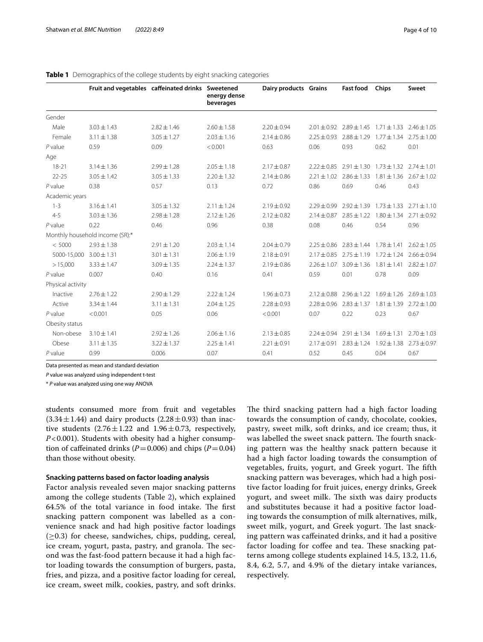|                             | Fruit and vegetables caffeinated drinks Sweetened |                 | energy dense<br>beverages | Dairy products Grains |                 | <b>Fast food</b>                                                | Chips                           | Sweet           |
|-----------------------------|---------------------------------------------------|-----------------|---------------------------|-----------------------|-----------------|-----------------------------------------------------------------|---------------------------------|-----------------|
| Gender                      |                                                   |                 |                           |                       |                 |                                                                 |                                 |                 |
| Male                        | $3.03 \pm 1.43$                                   | $2.82 \pm 1.46$ | $2.60 \pm 1.58$           | $2.20 \pm 0.94$       |                 | $2.01 \pm 0.92$ $2.89 \pm 1.45$ $1.71 \pm 1.33$ $2.46 \pm 1.05$ |                                 |                 |
| Female                      | $3.11 \pm 1.38$                                   | $3.05 \pm 1.27$ | $2.03 \pm 1.16$           | $2.14 \pm 0.86$       | $2.25 \pm 0.93$ | $2.88 \pm 1.29$                                                 | $1.77 \pm 1.34$                 | $2.75 \pm 1.00$ |
| $P$ value                   | 0.59                                              | 0.09            | < 0.001                   | 0.63                  | 0.06            | 0.93                                                            | 0.62                            | 0.01            |
| Age                         |                                                   |                 |                           |                       |                 |                                                                 |                                 |                 |
| $18 - 21$                   | $3.14 \pm 1.36$                                   | $2.99 \pm 1.28$ | $2.05 \pm 1.18$           | $2.17 \pm 0.87$       |                 | $2.22 \pm 0.85$ $2.91 \pm 1.30$ $1.73 \pm 1.32$ $2.74 \pm 1.01$ |                                 |                 |
| $22 - 25$                   | $3.05 \pm 1.42$                                   | $3.05 \pm 1.33$ | $2.20 \pm 1.32$           | $2.14 \pm 0.86$       | $2.21 \pm 1.02$ | $2.86 \pm 1.33$                                                 | $1.81 \pm 1.36$                 | $2.67 \pm 1.02$ |
| $P$ value                   | 0.38                                              | 0.57            | 0.13                      | 0.72                  | 0.86            | 0.69                                                            | 0.46                            | 0.43            |
| Academic years              |                                                   |                 |                           |                       |                 |                                                                 |                                 |                 |
| $1 - 3$                     | $3.16 \pm 1.41$                                   | $3.05 \pm 1.32$ | $2.11 \pm 1.24$           | $2.19 \pm 0.92$       |                 | $2.29 \pm 0.99$ $2.92 \pm 1.39$ $1.73 \pm 1.33$ $2.71 \pm 1.10$ |                                 |                 |
| $4 - 5$                     | $3.03 \pm 1.36$                                   | $2.98 \pm 1.28$ | $2.12 \pm 1.26$           | $2.12 \pm 0.82$       | $2.14 \pm 0.87$ | $2.85 \pm 1.22$                                                 | $1.80 \pm 1.34$ $2.71 \pm 0.92$ |                 |
| $P$ value                   | 0.22                                              | 0.46            | 0.96                      | 0.38                  | 0.08            | 0.46                                                            | 0.54                            | 0.96            |
|                             | Monthly household income (SR):*                   |                 |                           |                       |                 |                                                                 |                                 |                 |
| < 5000                      | $2.93 \pm 1.38$                                   | $2.91 \pm 1.20$ | $2.03 \pm 1.14$           | $2.04 \pm 0.79$       |                 | $2.25 \pm 0.86$ $2.83 \pm 1.44$ $1.78 \pm 1.41$                 |                                 | $2.62 \pm 1.05$ |
| 5000-15,000 $3.00 \pm 1.31$ |                                                   | $3.01 \pm 1.31$ | $2.06 \pm 1.19$           | $2.18 \pm 0.91$       |                 | $2.17 \pm 0.85$ $2.75 \pm 1.19$ $1.72 \pm 1.24$ $2.66 \pm 0.94$ |                                 |                 |
| >15,000                     | $3.33 \pm 1.47$                                   | $3.09 \pm 1.35$ | $2.24 \pm 1.37$           | $2.19 \pm 0.86$       | $7.26 \pm 1.07$ | $3.09 + 1.36$                                                   | $1.81 \pm 1.41$                 | $2.82 \pm 1.07$ |
| $P$ value                   | 0.007                                             | 0.40            | 0.16                      | 0.41                  | 0.59            | 0.01                                                            | 0.78                            | 0.09            |
| Physical activity           |                                                   |                 |                           |                       |                 |                                                                 |                                 |                 |
| Inactive                    | $2.76 + 1.22$                                     | $2.90 \pm 1.29$ | $2.22 \pm 1.24$           | $1.96 \pm 0.73$       |                 | $2.12 + 0.88$ $2.96 + 1.22$ $1.69 + 1.26$ $2.69 + 1.03$         |                                 |                 |
| Active                      | $3.34 \pm 1.44$                                   | $3.11 \pm 1.31$ | $2.04 \pm 1.25$           | $2.28 \pm 0.93$       | $2.28 \pm 0.96$ | $2.83 \pm 1.37$                                                 | $1.81 \pm 1.39$ $2.72 \pm 1.00$ |                 |
| $P$ value                   | < 0.001                                           | 0.05            | 0.06                      | < 0.001               | 0.07            | 0.22                                                            | 0.23                            | 0.67            |
| Obesity status              |                                                   |                 |                           |                       |                 |                                                                 |                                 |                 |
| Non-obese                   | $3.10 \pm 1.41$                                   | $2.92 \pm 1.26$ | $2.06 \pm 1.16$           | $2.13 \pm 0.85$       | $2.24 \pm 0.94$ |                                                                 | $2.91 \pm 1.34$ $1.69 \pm 1.31$ | $2.70 \pm 1.03$ |
| Obese                       | $3.11 \pm 1.35$                                   | $3.22 + 1.37$   | $2.25 + 1.41$             | $2.21 \pm 0.91$       | $2.17 + 0.91$   | $7.83 + 1.24$                                                   | $1.92 \pm 1.38$                 | $2.73 + 0.97$   |
| $P$ value                   | 0.99                                              | 0.006           | 0.07                      | 0.41                  | 0.52            | 0.45                                                            | 0.04                            | 0.67            |

## <span id="page-3-0"></span>**Table 1** Demographics of the college students by eight snacking categories

Data presented as mean and standard deviation

*P* value was analyzed using independent t-test

\* *P* value was analyzed using one way ANOVA

students consumed more from fruit and vegetables  $(3.34 \pm 1.44)$  and dairy products  $(2.28 \pm 0.93)$  than inactive students  $(2.76 \pm 1.22$  and  $1.96 \pm 0.73$ , respectively, *P*<0.001). Students with obesity had a higher consumption of caffeinated drinks  $(P=0.006)$  and chips  $(P=0.04)$ than those without obesity.

## **Snacking patterns based on factor loading analysis**

Factor analysis revealed seven major snacking patterns among the college students (Table [2](#page-4-0)), which explained 64.5% of the total variance in food intake. The first snacking pattern component was labelled as a convenience snack and had high positive factor loadings  $(\geq 0.3)$  for cheese, sandwiches, chips, pudding, cereal, ice cream, yogurt, pasta, pastry, and granola. The second was the fast-food pattern because it had a high factor loading towards the consumption of burgers, pasta, fries, and pizza, and a positive factor loading for cereal, ice cream, sweet milk, cookies, pastry, and soft drinks.

The third snacking pattern had a high factor loading towards the consumption of candy, chocolate, cookies, pastry, sweet milk, soft drinks, and ice cream; thus, it was labelled the sweet snack pattern. The fourth snacking pattern was the healthy snack pattern because it had a high factor loading towards the consumption of vegetables, fruits, yogurt, and Greek yogurt. The fifth snacking pattern was beverages, which had a high positive factor loading for fruit juices, energy drinks, Greek yogurt, and sweet milk. The sixth was dairy products and substitutes because it had a positive factor loading towards the consumption of milk alternatives, milk, sweet milk, yogurt, and Greek yogurt. The last snacking pattern was cafeinated drinks, and it had a positive factor loading for coffee and tea. These snacking patterns among college students explained 14.5, 13.2, 11.6, 8.4, 6.2, 5.7, and 4.9% of the dietary intake variances, respectively.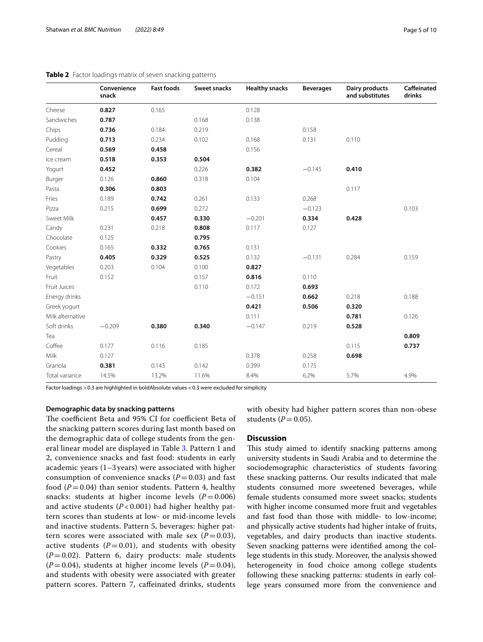|                  | Convenience<br>snack | <b>Fast foods</b> | Sweet snacks | <b>Healthy snacks</b> | <b>Beverages</b> | Dairy products<br>and substitutes | Caffeinated<br>drinks |
|------------------|----------------------|-------------------|--------------|-----------------------|------------------|-----------------------------------|-----------------------|
| Cheese           | 0.827                | 0.165             |              | 0.128                 |                  |                                   |                       |
| Sandwiches       | 0.787                |                   | 0.168        | 0.138                 |                  |                                   |                       |
| Chips            | 0.736                | 0.184             | 0.219        |                       | 0.158            |                                   |                       |
| Pudding          | 0.713                | 0.234             | 0.102        | 0.168                 | 0.131            | 0.110                             |                       |
| Cereal           | 0.569                | 0.458             |              | 0.156                 |                  |                                   |                       |
| Ice cream        | 0.518                | 0.353             | 0.504        |                       |                  |                                   |                       |
| Yogurt           | 0.452                |                   | 0.226        | 0.382                 | $-0.145$         | 0.410                             |                       |
| Burger           | 0.126                | 0.860             | 0.318        | 0.104                 |                  |                                   |                       |
| Pasta            | 0.306                | 0.803             |              |                       |                  | 0.117                             |                       |
| Fries            | 0.189                | 0.742             | 0.261        | 0.133                 | 0.268            |                                   |                       |
| Pizza            | 0.215                | 0.699             | 0.272        |                       | $-0.123$         |                                   | 0.103                 |
| Sweet Milk       |                      | 0.457             | 0.330        | $-0.201$              | 0.334            | 0.428                             |                       |
| Candy            | 0.231                | 0.218             | 0.808        | 0.117                 | 0.127            |                                   |                       |
| Chocolate        | 0.125                |                   | 0.795        |                       |                  |                                   |                       |
| Cookies          | 0.165                | 0.332             | 0.765        | 0.131                 |                  |                                   |                       |
| Pastry           | 0.405                | 0.329             | 0.525        | 0.132                 | $-0.131$         | 0.284                             | 0.159                 |
| Vegetables       | 0.203                | 0.104             | 0.100        | 0.827                 |                  |                                   |                       |
| Fruit            | 0.152                |                   | 0.157        | 0.816                 | 0.110            |                                   |                       |
| Fruit Juices     |                      |                   | 0.110        | 0.172                 | 0.693            |                                   |                       |
| Energy drinks    |                      |                   |              | $-0.151$              | 0.662            | 0.218                             | 0.188                 |
| Greek yogurt     |                      |                   |              | 0.421                 | 0.506            | 0.320                             |                       |
| Milk alternative |                      |                   |              | 0.111                 |                  | 0.781                             | 0.126                 |
| Soft drinks      | $-0.209$             | 0.380             | 0.340        | $-0.147$              | 0.219            | 0.528                             |                       |
| Tea              |                      |                   |              |                       |                  |                                   | 0.809                 |
| Coffee           | 0.177                | 0.116             | 0.185        |                       |                  | 0.115                             | 0.737                 |
| Milk             | 0.127                |                   |              | 0.378                 | 0.258            | 0.698                             |                       |
| Granola          | 0.381                | 0.143             | 0.142        | 0.399                 | 0.175            |                                   |                       |
| Total variance   | 14.5%                | 13.2%             | 11.6%        | 8.4%                  | 6.2%             | 5.7%                              | 4.9%                  |

#### <span id="page-4-0"></span>**Table 2** Factor loadings matrix of seven snacking patterns

Factor loadings >0.3 are highlighted in boldAbsolute values <0.3 were excluded for simplicity

## **Demographic data by snacking patterns**

The coefficient Beta and 95% CI for coefficient Beta of the snacking pattern scores during last month based on the demographic data of college students from the general linear model are displayed in Table [3](#page-5-0). Pattern 1 and 2, convenience snacks and fast food: students in early academic years (1–3 years) were associated with higher consumption of convenience snacks  $(P=0.03)$  and fast food  $(P=0.04)$  than senior students. Pattern 4, healthy snacks: students at higher income levels  $(P=0.006)$ and active students  $(P< 0.001)$  had higher healthy pattern scores than students at low- or mid-income levels and inactive students. Pattern 5, beverages: higher pattern scores were associated with male sex  $(P=0.03)$ , active students  $(P=0.01)$ , and students with obesity  $(P=0.02)$ . Pattern 6, dairy products: male students  $(P=0.04)$ , students at higher income levels  $(P=0.04)$ , and students with obesity were associated with greater pattern scores. Pattern 7, cafeinated drinks, students with obesity had higher pattern scores than non-obese students  $(P=0.05)$ .

## **Discussion**

This study aimed to identify snacking patterns among university students in Saudi Arabia and to determine the sociodemographic characteristics of students favoring these snacking patterns. Our results indicated that male students consumed more sweetened beverages, while female students consumed more sweet snacks; students with higher income consumed more fruit and vegetables and fast food than those with middle- to low-income; and physically active students had higher intake of fruits, vegetables, and dairy products than inactive students. Seven snacking patterns were identifed among the college students in this study. Moreover, the analysis showed heterogeneity in food choice among college students following these snacking patterns: students in early college years consumed more from the convenience and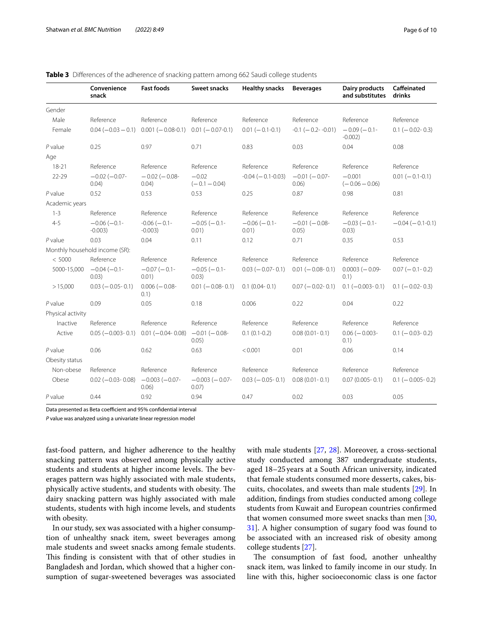$4-5$  −0.06 (-0.1--0.003)

Monthly household income (SR):

5000-15,000 −0.04 (−0.1- 0.03)

 $>15,000$  0.03 ( $-0.05 - 0.1$ ) 0.006 ( $-0.08$ 

Gender

Age

Academic years

Physical activity

Obesity status

|           | Convenience<br>snack     | <b>Fast foods</b>                                               | Sweet snacks               | <b>Healthy snacks</b>      | <b>Beverages</b>             | Dairy products<br>and substitutes | Caffeinated<br>drinks   |
|-----------|--------------------------|-----------------------------------------------------------------|----------------------------|----------------------------|------------------------------|-----------------------------------|-------------------------|
| Gender    |                          |                                                                 |                            |                            |                              |                                   |                         |
| Male      | Reference                | Reference                                                       | Reference                  | Reference                  | Reference                    | Reference                         | Reference               |
| Female    |                          | $0.04 (-0.03 - 0.1)$ $0.001 (-0.08 - 0.1)$ $0.01 (-0.07 - 0.1)$ |                            | $0.01 (-0.1 - 0.1)$        | $-0.1$ ( $-0.2$ $-0.01$ )    | $-0.09(-0.1-$<br>$-0.002$ )       | $0.1$ ( $-0.02 - 0.3$ ) |
| P value   | 0.25                     | 0.97                                                            | 0.71                       | 0.83                       | 0.03                         | 0.04                              | 0.08                    |
| Age       |                          |                                                                 |                            |                            |                              |                                   |                         |
| $18 - 21$ | Reference                | Reference                                                       | Reference                  | Reference                  | Reference                    | Reference                         | Reference               |
| $22 - 29$ | $-0.02(-0.07 -$<br>0.04) | $-0.02$ ( $-0.08$ -<br>0.04)                                    | $-0.02$<br>$(-0.1 - 0.04)$ | $-0.04$ ( $-0.1$ $-0.03$ ) | $-0.01$ ( $-0.07$ -<br>0.06) | $-0.001$<br>$(-0.06 - 0.06)$      | $0.01 (-0.1 - 0.1)$     |
| P value   | 0.52                     | 0.53                                                            | 0.53                       | 0.25                       | 0.87                         | 0.98                              | 0.81                    |

 $-0.01$  ( $-0.08$ -0.05)

 $0.03 (-0.07 - 0.1)$   $0.01 (-0.08 - 0.1)$   $0.0003 (-0.09 - 0.09 - 0.0003)$ 

0.01 (−0.08- 0.1) 0.1 (0.04- 0.1) 0.07 (−0.02- 0.1) 0.1 (−0.003- 0.1) 0.1 (−0.02- 0.3)

 $0.1 (0.1-0.2)$   $0.08 (0.01-0.1)$   $0.06 (-0.003-0.003-0.003-0.003-0.003-0.003-0.003-0.003-0.003-0.003-0.003-0.003-0.003-0.003-0.003-0.003-0.003-0.003-0.003-0.003-0.003-0.003-0.003-0.003-0.003-0.003-0.003-0.003-0.003-0.003-0.0$ 

 $-0.03$  ( $-0.1$ -0.03)

0.1)

0.1)

0.03 (−0.05- 0.1) 0.08 (0.01- 0.1) 0.07 (0.005- 0.1) 0.1 (−0.005- 0.2)

1-3 Reference Reference Reference Reference Reference Reference Reference

< 5000 Reference Reference Reference Reference Reference Reference Reference

Inactive Reference Reference Reference Reference Reference Reference Reference

Non-obese Reference Reference Reference Reference Reference Reference Reference

*P* value 0.03 0.04 0.11 0.12 0.71 0.35 0.53

*P* value 0.09 0.05 0.18 0.006 0.22 0.04 0.22

*P* value 0.06 0.62 0.63 < 0.001 0.01 0.06 0.14

*P* value 0.44 0.92 0.94 0.47 0.02 0.03 0.05

 $-0.003$  ( $-0.07$ -0.07)

 $-0.06$  ( $-0.1$ -0.01)

 $-0.05$  ( $-0.1$ -0.01)

 $-0.05$  ( $-0.1$ -0.03)

0.05)

## <span id="page-5-0"></span>**Table 3** Differences of the adherence

 $-0.06$  ( $-0.1$ --0.003)

 $-0.07$  ( $-0.1$ -0.01)

0.1)

Active 0.05 (-0.003- 0.1) 0.01 (-0.04- 0.08) -0.01 (-0.08-

0.06)

Data presented as Beta coefficient and 95% confidential interval

*P* value was analyzed using a univariate linear regression model

Obese 0.02 (-0.03- 0.08) -0.003 (-0.07-

fast-food pattern, and higher adherence to the healthy snacking pattern was observed among physically active students and students at higher income levels. The beverages pattern was highly associated with male students, physically active students, and students with obesity. The dairy snacking pattern was highly associated with male students, students with high income levels, and students with obesity.

In our study, sex was associated with a higher consumption of unhealthy snack item, sweet beverages among male students and sweet snacks among female students. This finding is consistent with that of other studies in Bangladesh and Jordan, which showed that a higher consumption of sugar-sweetened beverages was associated with male students [\[27](#page-8-21), [28\]](#page-8-22). Moreover, a cross-sectional study conducted among 387 undergraduate students, aged 18–25years at a South African university, indicated that female students consumed more desserts, cakes, biscuits, chocolates, and sweets than male students [[29](#page-8-23)]. In addition, fndings from studies conducted among college students from Kuwait and European countries confrmed that women consumed more sweet snacks than men [[30](#page-8-24), [31\]](#page-8-25). A higher consumption of sugary food was found to be associated with an increased risk of obesity among college students [\[27](#page-8-21)].

The consumption of fast food, another unhealthy snack item, was linked to family income in our study. In line with this, higher socioeconomic class is one factor

 $-0.04$  ( $-0.1-0.1$ )

 $0.07$  ( $-0.1 - 0.2$ )

 $0.1$  ( $-0.03 - 0.2$ )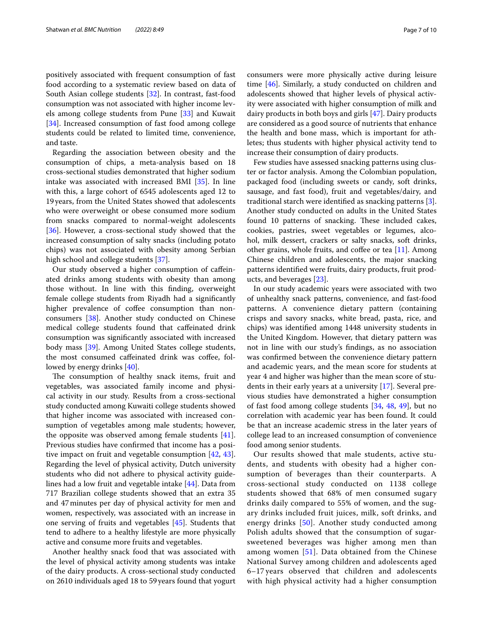positively associated with frequent consumption of fast food according to a systematic review based on data of South Asian college students [[32\]](#page-8-26). In contrast, fast-food consumption was not associated with higher income levels among college students from Pune [\[33](#page-8-27)] and Kuwait [[34\]](#page-8-28). Increased consumption of fast food among college students could be related to limited time, convenience, and taste.

Regarding the association between obesity and the consumption of chips, a meta-analysis based on 18 cross-sectional studies demonstrated that higher sodium intake was associated with increased BMI [\[35\]](#page-8-29). In line with this, a large cohort of 6545 adolescents aged 12 to 19years, from the United States showed that adolescents who were overweight or obese consumed more sodium from snacks compared to normal-weight adolescents [[36\]](#page-8-30). However, a cross-sectional study showed that the increased consumption of salty snacks (including potato chips) was not associated with obesity among Serbian high school and college students [\[37](#page-8-31)].

Our study observed a higher consumption of cafeinated drinks among students with obesity than among those without. In line with this fnding, overweight female college students from Riyadh had a signifcantly higher prevalence of coffee consumption than nonconsumers [[38\]](#page-8-32). Another study conducted on Chinese medical college students found that cafeinated drink consumption was signifcantly associated with increased body mass [\[39](#page-8-33)]. Among United States college students, the most consumed caffeinated drink was coffee, followed by energy drinks [[40\]](#page-8-34).

The consumption of healthy snack items, fruit and vegetables, was associated family income and physical activity in our study. Results from a cross-sectional study conducted among Kuwaiti college students showed that higher income was associated with increased consumption of vegetables among male students; however, the opposite was observed among female students [\[41](#page-8-35)]. Previous studies have confrmed that income has a positive impact on fruit and vegetable consumption [\[42](#page-8-36), [43](#page-8-37)]. Regarding the level of physical activity, Dutch university students who did not adhere to physical activity guidelines had a low fruit and vegetable intake [[44](#page-8-38)]. Data from 717 Brazilian college students showed that an extra 35 and 47minutes per day of physical activity for men and women, respectively, was associated with an increase in one serving of fruits and vegetables [[45](#page-8-39)]. Students that tend to adhere to a healthy lifestyle are more physically active and consume more fruits and vegetables.

Another healthy snack food that was associated with the level of physical activity among students was intake of the dairy products. A cross-sectional study conducted on 2610 individuals aged 18 to 59years found that yogurt consumers were more physically active during leisure time [\[46](#page-8-40)]. Similarly, a study conducted on children and adolescents showed that higher levels of physical activity were associated with higher consumption of milk and dairy products in both boys and girls [\[47](#page-8-41)]. Dairy products are considered as a good source of nutrients that enhance the health and bone mass, which is important for athletes; thus students with higher physical activity tend to increase their consumption of dairy products.

Few studies have assessed snacking patterns using cluster or factor analysis. Among the Colombian population, packaged food (including sweets or candy, soft drinks, sausage, and fast food), fruit and vegetables/dairy, and traditional starch were identifed as snacking patterns [\[3](#page-7-1)]. Another study conducted on adults in the United States found 10 patterns of snacking. These included cakes, cookies, pastries, sweet vegetables or legumes, alcohol, milk dessert, crackers or salty snacks, soft drinks, other grains, whole fruits, and coffee or tea  $[11]$  $[11]$ . Among Chinese children and adolescents, the major snacking patterns identifed were fruits, dairy products, fruit products, and beverages [[23](#page-8-17)].

In our study academic years were associated with two of unhealthy snack patterns, convenience, and fast-food patterns. A convenience dietary pattern (containing crisps and savory snacks, white bread, pasta, rice, and chips) was identifed among 1448 university students in the United Kingdom. However, that dietary pattern was not in line with our study's fndings, as no association was confrmed between the convenience dietary pattern and academic years, and the mean score for students at year 4 and higher was higher than the mean score of students in their early years at a university [[17](#page-8-10)]. Several previous studies have demonstrated a higher consumption of fast food among college students [[34,](#page-8-28) [48](#page-9-0), [49\]](#page-9-1), but no correlation with academic year has been found. It could be that an increase academic stress in the later years of college lead to an increased consumption of convenience food among senior students.

Our results showed that male students, active students, and students with obesity had a higher consumption of beverages than their counterparts. A cross-sectional study conducted on 1138 college students showed that 68% of men consumed sugary drinks daily compared to 55% of women, and the sugary drinks included fruit juices, milk, soft drinks, and energy drinks [[50\]](#page-9-2). Another study conducted among Polish adults showed that the consumption of sugarsweetened beverages was higher among men than among women [[51](#page-9-3)]. Data obtained from the Chinese National Survey among children and adolescents aged 6–17 years observed that children and adolescents with high physical activity had a higher consumption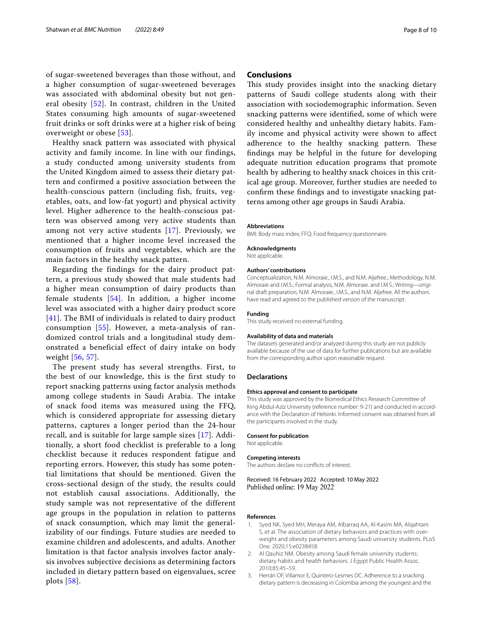of sugar-sweetened beverages than those without, and a higher consumption of sugar-sweetened beverages was associated with abdominal obesity but not general obesity [[52](#page-9-4)]. In contrast, children in the United States consuming high amounts of sugar-sweetened fruit drinks or soft drinks were at a higher risk of being overweight or obese [[53\]](#page-9-5).

Healthy snack pattern was associated with physical activity and family income. In line with our findings, a study conducted among university students from the United Kingdom aimed to assess their dietary pattern and confirmed a positive association between the health-conscious pattern (including fish, fruits, vegetables, oats, and low-fat yogurt) and physical activity level. Higher adherence to the health-conscious pattern was observed among very active students than among not very active students [[17](#page-8-10)]. Previously, we mentioned that a higher income level increased the consumption of fruits and vegetables, which are the main factors in the healthy snack pattern.

Regarding the findings for the dairy product pattern, a previous study showed that male students had a higher mean consumption of dairy products than female students  $[54]$  $[54]$ . In addition, a higher income level was associated with a higher dairy product score [[41](#page-8-35)]. The BMI of individuals is related to dairy product consumption [[55](#page-9-7)]. However, a meta-analysis of randomized control trials and a longitudinal study demonstrated a beneficial effect of dairy intake on body weight [[56](#page-9-8), [57](#page-9-9)].

The present study has several strengths. First, to the best of our knowledge, this is the first study to report snacking patterns using factor analysis methods among college students in Saudi Arabia. The intake of snack food items was measured using the FFQ, which is considered appropriate for assessing dietary patterns, captures a longer period than the 24-hour recall, and is suitable for large sample sizes [\[17\]](#page-8-10). Additionally, a short food checklist is preferable to a long checklist because it reduces respondent fatigue and reporting errors. However, this study has some potential limitations that should be mentioned. Given the cross-sectional design of the study, the results could not establish causal associations. Additionally, the study sample was not representative of the different age groups in the population in relation to patterns of snack consumption, which may limit the generalizability of our findings. Future studies are needed to examine children and adolescents, and adults. Another limitation is that factor analysis involves factor analysis involves subjective decisions as determining factors included in dietary pattern based on eigenvalues, scree plots [[58\]](#page-9-10).

## **Conclusions**

This study provides insight into the snacking dietary patterns of Saudi college students along with their association with sociodemographic information. Seven snacking patterns were identifed, some of which were considered healthy and unhealthy dietary habits. Family income and physical activity were shown to afect adherence to the healthy snacking pattern. These fndings may be helpful in the future for developing adequate nutrition education programs that promote health by adhering to healthy snack choices in this critical age group. Moreover, further studies are needed to confrm these fndings and to investigate snacking patterns among other age groups in Saudi Arabia.

#### **Abbreviations**

BMI: Body mass index; FFQ: Food frequency questionnaire.

#### **Acknowledgments**

Not applicable.

#### **Authors' contributions**

Conceptualization, N.M. Almoraie., I.M.S., and N.M. Aljefree.; Methodology, N.M. Almoraie and I.M.S.; Formal analysis, N.M. Almoraie. and I.M.S.; Writing—original draft preparation, N.M. Almoraie., I.M.S., and N.M. Aljefree. All the authors have read and agreed to the published version of the manuscript.

#### **Funding**

This study received no external funding.

#### **Availability of data and materials**

The datasets generated and/or analyzed during this study are not publicly available because of the use of data for further publications but are available from the corresponding author upon reasonable request.

#### **Declarations**

#### **Ethics approval and consent to participate**

This study was approved by the Biomedical Ethics Research Committee of King Abdul-Aziz University (reference number: 9-21) and conducted in accordance with the Declaration of Helsinki. Informed consent was obtained from all the participants involved in the study.

#### **Consent for publication**

Not applicable.

#### **Competing interests**

The authors declare no conficts of interest.

Received: 16 February 2022 Accepted: 10 May 2022 Published online: 19 May 2022

#### **References**

- <span id="page-7-0"></span>1. Syed NK, Syed MH, Meraya AM, Albarraq AA, Al-Kasim MA, Alqahtani S, et al. The association of dietary behaviors and practices with overweight and obesity parameters among Saudi university students*.* PLoS One. 2020;15:e0238458.
- 2. Al Qauhiz NM. Obesity among Saudi female university students: dietary habits and health behaviors. J Egypt Public Health Assoc. 2010;85:45–59.
- <span id="page-7-1"></span>3. Herrán OF, Villamor E, Quintero-Lesmes DC. Adherence to a snacking dietary pattern is decreasing in Colombia among the youngest and the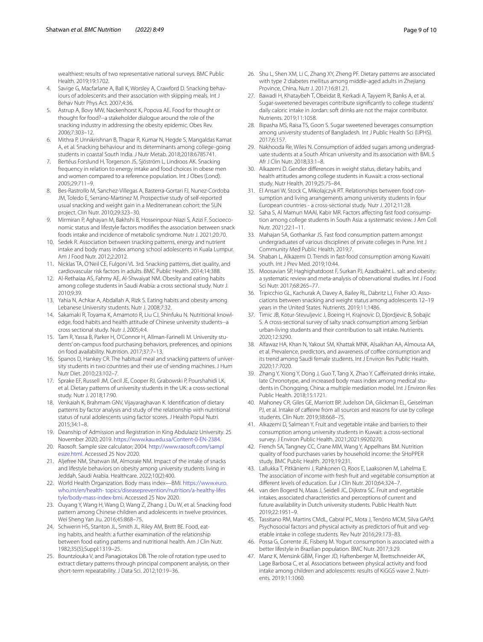wealthiest: results of two representative national surveys. BMC Public Health. 2019;19:1702.

- <span id="page-8-0"></span>4. Savige G, Macfarlane A, Ball K, Worsley A, Crawford D. Snacking behaviours of adolescents and their association with skipping meals. Int J Behav Nutr Phys Act. 2007;4:36.
- <span id="page-8-1"></span>5. Astrup A, Bovy MW, Nackenhorst K, Popova AE. Food for thought or thought for food?--a stakeholder dialogue around the role of the snacking industry in addressing the obesity epidemic. Obes Rev. 2006;7:303–12.
- <span id="page-8-2"></span>6. Mithra P, Unnikrishnan B, Thapar R, Kumar N, Hegde S, Mangaldas Kamat A, et al. Snacking behaviour and its determinants among college-going students in coastal South India. J Nutr Metab. 2018;2018:6785741.
- <span id="page-8-3"></span>7. Bertéus Forslund H, Torgerson JS, Sjöström L, Lindroos AK. Snacking frequency in relation to energy intake and food choices in obese men and women compared to a reference population. Int J Obes (Lond). 2005;29:711–9.
- 8. Bes-Rastrollo M, Sanchez-Villegas A, Basterra-Gortari FJ, Nunez-Cordoba JM, Toledo E, Serrano-Martinez M. Prospective study of self-reported usual snacking and weight gain in a Mediterranean cohort: the SUN project. Clin Nutr. 2010;29:323–30.
- <span id="page-8-4"></span>9. Mirmiran P, Aghayan M, Bakhshi B, Hosseinpour-Niazi S, Azizi F. Socioeconomic status and lifestyle factors modifes the association between snack foods intake and incidence of metabolic syndrome. Nutr J. 2021;20:70.
- <span id="page-8-5"></span>10. Sedek R. Association between snacking patterns, energy and nutrient intake and body mass index among school adolescents in Kuala Lumpur. Am J Food Nutr. 2012;2:2012.
- <span id="page-8-6"></span>11. Nicklas TA, O'Neil CE, Fulgoni VL 3rd. Snacking patterns, diet quality, and cardiovascular risk factors in adults. BMC Public Health. 2014;14:388.
- <span id="page-8-7"></span>12. Al-Rethaiaa AS, Fahmy AE, Al-Shwaiyat NM. Obesity and eating habits among college students in Saudi Arabia: a cross sectional study. Nutr J. 2010;9:39.
- 13. Yahia N, Achkar A, Abdallah A, Rizk S. Eating habits and obesity among Lebanese University students. Nutr J. 2008;7:32.
- <span id="page-8-8"></span>14. Sakamaki R, Toyama K, Amamoto R, Liu CJ, Shinfuku N. Nutritional knowledge, food habits and health attitude of Chinese university students--a cross sectional study*.* Nutr J. 2005;4:4.
- <span id="page-8-9"></span>15. Tam R, Yassa B, Parker H, O'Connor H, Allman-Farinelli M. University students' on-campus food purchasing behaviors, preferences, and opinions on food availability. Nutrition. 2017;37:7–13.
- <span id="page-8-16"></span>16. Spanos D, Hankey CR. The habitual meal and snacking patterns of university students in two countries and their use of vending machines. J Hum Nutr Diet. 2010;23:102–7.
- <span id="page-8-10"></span>17. Sprake EF, Russell JM, Cecil JE, Cooper RJ, Grabowski P, Pourshahidi LK, et al. Dietary patterns of university students in the UK: a cross-sectional study. Nutr J. 2018;17:90.
- <span id="page-8-11"></span>18. Venkaiah K, Brahmam GNV, Vijayaraghavan K. Identifcation of dietary patterns by factor analysis and study of the relationship with nutritional status of rural adolescents using factor scores. J Health Popul Nutri. 2015;34:1–8.
- <span id="page-8-12"></span>19. Deanship of Admission and Registration in King Abdulaziz University. 25 November 2020; 2019.<https://www.kau.edu.sa/Content-0-EN-2384>.
- <span id="page-8-13"></span>20. Raosoft. Sample size calculator; 2004. [http://www.raosoft.com/sampl](http://www.raosoft.com/samplesize.html) [esize.html.](http://www.raosoft.com/samplesize.html) Accessed 25 Nov 2020.
- <span id="page-8-14"></span>21. Aljefree NM, Shatwan IM, Almoraie NM. Impact of the intake of snacks and lifestyle behaviors on obesity among university students living in Jeddah, Saudi Arabia. Healthcare. 2022;10(2):400.
- <span id="page-8-15"></span>22. World Health Organization. Body mass index—BMI. [https://www.euro.](https://www.euro.who.int/en/health-%20%20topics/diseaseprevention/nutrition/a-healthy-lifestyle/body-mass-index-bmi) [who.int/en/health- topics/diseaseprevention/nutrition/a-healthy-lifes](https://www.euro.who.int/en/health-%20%20topics/diseaseprevention/nutrition/a-healthy-lifestyle/body-mass-index-bmi) [tyle/body-mass-index-bmi.](https://www.euro.who.int/en/health-%20%20topics/diseaseprevention/nutrition/a-healthy-lifestyle/body-mass-index-bmi) Accessed 25 Nov 2020.
- <span id="page-8-17"></span>23. Ouyang Y, Wang H, Wang D, Wang Z, Zhang J, Du W, et al. Snacking food pattern among Chinese children and adolescents in twelve provinces. Wei Sheng Yan Jiu. 2016;45:868–75.
- <span id="page-8-18"></span>24. Schwerin HS, Stanton JL, Smith JL, Riley AM, Brett BE. Food, eating habits, and health: a further examination of the relationship between food eating patterns and nutritional health. Am J Clin Nutr. 1982;35(5);Suppl:1319–25.
- <span id="page-8-19"></span>25. Bountziouka V, and Panagiotakos DB. The role of rotation type used to extract dietary patterns through principal component analysis, on their short-term repeatability. J Data Sci. 2012;10:19–36.
- <span id="page-8-20"></span>26. Shu L, Shen XM, Li C, Zhang XY, Zheng PF. Dietary patterns are associated with type 2 diabetes mellitus among middle-aged adults in Zhejiang Province, China. Nutr J. 2017;16:81.21.
- <span id="page-8-21"></span>27. Bawadi H, Khataybeh T, Obeidat B, Kerkadi A, Tayyem R, Banks A, et al. Sugar-sweetened beverages contribute signifcantly to college students' daily caloric intake in Jordan: soft drinks are not the major contributor. Nutrients. 2019;11:1058.
- <span id="page-8-22"></span>28. Bipasha MS, Raisa TS, Goon S. Sugar sweetened beverages consumption among university students of Bangladesh*.* Int J Public Health Sci (IJPHS). 2017;6:157.
- <span id="page-8-23"></span>29. Nakhooda Re, Wiles N. Consumption of added sugars among undergraduate students at a South African university and its association with BMI*.* S Afr J Clin Nutr. 2018;33:1–8.
- <span id="page-8-24"></span>30. Alkazemi D. Gender diferences in weight status, dietary habits, and health attitudes among college students in Kuwait: a cross-sectional study. Nutr Health. 2019;25:75–84.
- <span id="page-8-25"></span>31. El Ansari W, Stock C, Mikolajczyk RT. Relationships between food consumption and living arrangements among university students in four European countries - a cross-sectional study*.* Nutr J. 2012;11:28.
- <span id="page-8-26"></span>32. Saha S, Al Mamun MAAl, Kabir MR. Factors afecting fast food consumption among college students in South Asia: a systematic review*.* J Am Coll Nutr. 2021;22:1–11.
- <span id="page-8-27"></span>33. Mahajan SA, Gothankar JS. Fast food consumption pattern amongst undergraduates of various disciplines of private colleges in Pune. Int J Community Med Public Health. 2019;7.
- <span id="page-8-28"></span>34. Shaban L, Alkazemi D. Trends in fast-food consumption among Kuwaiti youth*.* Int J Prev Med. 2019;10:44.
- <span id="page-8-29"></span>35. Moosavian SP, Haghighatdoost F, Surkan PJ, Azadbakht L. salt and obesity: a systematic review and meta-analysis of observational studies. Int J Food Sci Nutr. 2017;68:265–77.
- <span id="page-8-30"></span>36. Tripicchio GL, Kachurak A, Davey A, Bailey RL, Dabritz LJ, Fisher JO. Associations between snacking and weight status among adolescents 12–19 years in the United States. Nutrients. 2019;11:1486.
- <span id="page-8-31"></span>37. Timic JB, Kotur-Stevuljevic J, Boeing H, Krajnovic D, Djordjevic B, Sobajic S. A cross-sectional survey of salty snack consumption among Serbian urban-living students and their contribution to salt intake. Nutrients. 2020;12:3290.
- <span id="page-8-32"></span>38. Alfawaz HA, Khan N, Yakout SM, Khattak MNK, Alsaikhan AA, Almousa AA, et al. Prevalence, predictors, and awareness of coffee consumption and its trend among Saudi female students. Int J Environ Res Public Health. 2020;17:7020.
- <span id="page-8-33"></span>39. Zhang Y, Xiong Y, Dong J, Guo T, Tang X, Zhao Y. Cafeinated drinks intake, late Chronotype, and increased body mass index among medical students in Chongqing, China: a multiple mediation model. Int J Environ Res Public Health. 2018;15:1721.
- <span id="page-8-34"></span>40. Mahoney CR, Giles GE, Marriott BP, Judelson DA, Glickman EL, Geiselman PJ, et al. Intake of caffeine from all sources and reasons for use by college students. Clin Nutr. 2019;38:668–75.
- <span id="page-8-35"></span>41. Alkazemi D, Salmean Y. Fruit and vegetable intake and barriers to their consumption among university students in Kuwait: a cross-sectional survey*.* J Environ Public Health. 2021;2021:9920270.
- <span id="page-8-36"></span>42. French SA, Tangney CC, Crane MM, Wang Y, Appelhans BM. Nutrition quality of food purchases varies by household income: the SHoPPER study. BMC Public Health. 2019;19:231.
- <span id="page-8-37"></span>43. Lallukka T, Pitkäniemi J, Rahkonen O, Roos E, Laaksonen M, Lahelma E. The association of income with fresh fruit and vegetable consumption at diferent levels of education. Eur J Clin Nutr. 2010;64:324–7.
- <span id="page-8-38"></span>44. van den Bogerd N, Maas J, Seidell JC, Dijkstra SC. Fruit and vegetable intakes, associated characteristics and perceptions of current and future availability in Dutch university students. Public Health Nutr. 2019;22:1951–9.
- <span id="page-8-39"></span>45. Tassitano RM, Martins CMdL, Cabral PC, Mota J, Tenório MCM, Silva GAPd. Psychosocial factors and physical activity as predictors of fruit and vegetable intake in college students*.* Rev Nutr 2016;29:173–83.
- <span id="page-8-40"></span>46. Possa G, Corrente JE, Fisberg M. Yogurt consumption is associated with a better lifestyle in Brazilian population. BMC Nutr. 2017;3:29.
- <span id="page-8-41"></span>47. Manz K, Mensink GBM, Finger JD, Haftenberger M, Brettschneider AK, Lage Barbosa C, et al. Associations between physical activity and food intake among children and adolescents: results of KiGGS wave 2. Nutrients. 2019;11:1060.